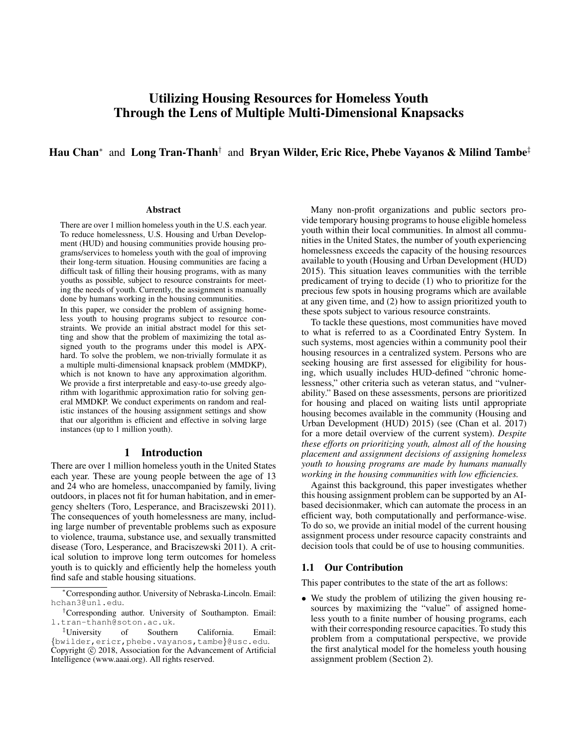# Utilizing Housing Resources for Homeless Youth Through the Lens of Multiple Multi-Dimensional Knapsacks

# Hau Chan<sup>∗</sup> and Long Tran-Thanh<sup>†</sup> and Bryan Wilder, Eric Rice, Phebe Vayanos & Milind Tambe<sup>‡</sup>

#### **Abstract**

There are over 1 million homeless youth in the U.S. each year. To reduce homelessness, U.S. Housing and Urban Development (HUD) and housing communities provide housing programs/services to homeless youth with the goal of improving their long-term situation. Housing communities are facing a difficult task of filling their housing programs, with as many youths as possible, subject to resource constraints for meeting the needs of youth. Currently, the assignment is manually done by humans working in the housing communities.

In this paper, we consider the problem of assigning homeless youth to housing programs subject to resource constraints. We provide an initial abstract model for this setting and show that the problem of maximizing the total assigned youth to the programs under this model is APXhard. To solve the problem, we non-trivially formulate it as a multiple multi-dimensional knapsack problem (MMDKP), which is not known to have any approximation algorithm. We provide a first interpretable and easy-to-use greedy algorithm with logarithmic approximation ratio for solving general MMDKP. We conduct experiments on random and realistic instances of the housing assignment settings and show that our algorithm is efficient and effective in solving large instances (up to 1 million youth).

## 1 Introduction

There are over 1 million homeless youth in the United States each year. These are young people between the age of 13 and 24 who are homeless, unaccompanied by family, living outdoors, in places not fit for human habitation, and in emergency shelters (Toro, Lesperance, and Braciszewski 2011). The consequences of youth homelessness are many, including large number of preventable problems such as exposure to violence, trauma, substance use, and sexually transmitted disease (Toro, Lesperance, and Braciszewski 2011). A critical solution to improve long term outcomes for homeless youth is to quickly and efficiently help the homeless youth find safe and stable housing situations.

Many non-profit organizations and public sectors provide temporary housing programs to house eligible homeless youth within their local communities. In almost all communities in the United States, the number of youth experiencing homelessness exceeds the capacity of the housing resources available to youth (Housing and Urban Development (HUD) 2015). This situation leaves communities with the terrible predicament of trying to decide (1) who to prioritize for the precious few spots in housing programs which are available at any given time, and (2) how to assign prioritized youth to these spots subject to various resource constraints.

To tackle these questions, most communities have moved to what is referred to as a Coordinated Entry System. In such systems, most agencies within a community pool their housing resources in a centralized system. Persons who are seeking housing are first assessed for eligibility for housing, which usually includes HUD-defined "chronic homelessness," other criteria such as veteran status, and "vulnerability." Based on these assessments, persons are prioritized for housing and placed on waiting lists until appropriate housing becomes available in the community (Housing and Urban Development (HUD) 2015) (see (Chan et al. 2017) for a more detail overview of the current system). *Despite these efforts on prioritizing youth, almost all of the housing placement and assignment decisions of assigning homeless youth to housing programs are made by humans manually working in the housing communities with low efficiencies.*

Against this background, this paper investigates whether this housing assignment problem can be supported by an AIbased decisionmaker, which can automate the process in an efficient way, both computationally and performance-wise. To do so, we provide an initial model of the current housing assignment process under resource capacity constraints and decision tools that could be of use to housing communities.

#### 1.1 Our Contribution

This paper contributes to the state of the art as follows:

• We study the problem of utilizing the given housing resources by maximizing the "value" of assigned homeless youth to a finite number of housing programs, each with their corresponding resource capacities. To study this problem from a computational perspective, we provide the first analytical model for the homeless youth housing assignment problem (Section 2).

<sup>∗</sup>Corresponding author. University of Nebraska-Lincoln. Email: hchan3@unl.edu.

<sup>†</sup>Corresponding author. University of Southampton. Email: l.tran-thanh@soton.ac.uk.

<sup>‡</sup>University of Southern California. Email: {bwilder,ericr,phebe.vayanos,tambe}@usc.edu.  $\text{Copyright}$   $\odot$  2018, Association for the Advancement of Artificial Intelligence (www.aaai.org). All rights reserved.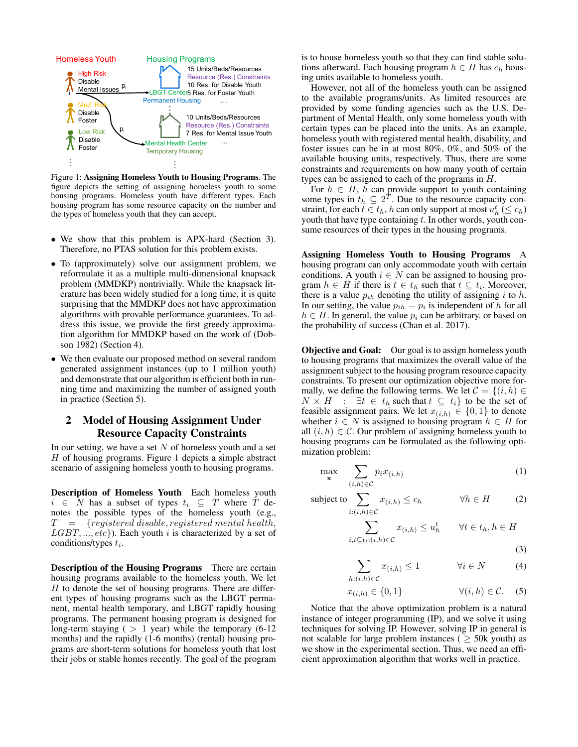

Figure 1: Assigning Homeless Youth to Housing Programs. The figure depicts the setting of assigning homeless youth to some housing programs. Homeless youth have different types. Each housing program has some resource capacity on the number and the types of homeless youth that they can accept.

- We show that this problem is APX-hard (Section 3). Therefore, no PTAS solution for this problem exists.
- To (approximately) solve our assignment problem, we reformulate it as a multiple multi-dimensional knapsack problem (MMDKP) nontrivially. While the knapsack literature has been widely studied for a long time, it is quite surprising that the MMDKP does not have approximation algorithms with provable performance guarantees. To address this issue, we provide the first greedy approximation algorithm for MMDKP based on the work of (Dobson 1982) (Section 4).
- We then evaluate our proposed method on several random generated assignment instances (up to 1 million youth) and demonstrate that our algorithm is efficient both in running time and maximizing the number of assigned youth in practice (Section 5).

# 2 Model of Housing Assignment Under Resource Capacity Constraints

In our setting, we have a set  $N$  of homeless youth and a set H of housing programs. Figure 1 depicts a simple abstract scenario of assigning homeless youth to housing programs.

Description of Homeless Youth Each homeless youth  $i \in N$  has a subset of types  $t_i \subseteq T$  where T denotes the possible types of the homeless youth (e.g.,  $T = \{registered \space disable, registered \space mental \space health,$  $LGBT, ..., etc$ ). Each youth i is characterized by a set of conditions/types  $t_i$ .

Description of the Housing Programs There are certain housing programs available to the homeless youth. We let  $H$  to denote the set of housing programs. There are different types of housing programs such as the LBGT permanent, mental health temporary, and LBGT rapidly housing programs. The permanent housing program is designed for long-term staying  $( > 1$  year) while the temporary  $(6-12)$ months) and the rapidly (1-6 months) (rental) housing programs are short-term solutions for homeless youth that lost their jobs or stable homes recently. The goal of the program

is to house homeless youth so that they can find stable solutions afterward. Each housing program  $h \in H$  has  $c_h$  housing units available to homeless youth.

However, not all of the homeless youth can be assigned to the available programs/units. As limited resources are provided by some funding agencies such as the U.S. Department of Mental Health, only some homeless youth with certain types can be placed into the units. As an example, homeless youth with registered mental health, disability, and foster issues can be in at most 80%, 0%, and 50% of the available housing units, respectively. Thus, there are some constraints and requirements on how many youth of certain types can be assigned to each of the programs in H.

For  $h \in H$ , h can provide support to youth containing some types in  $t_h \subseteq 2^T$ . Due to the resource capacity constraint, for each  $t \in t_h$ , h can only support at most  $u_h^t \leq c_h$ ) youth that have type containing  $t$ . In other words, youth consume resources of their types in the housing programs.

Assigning Homeless Youth to Housing Programs A housing program can only accommodate youth with certain conditions. A youth  $i \in N$  can be assigned to housing program  $h \in H$  if there is  $t \in t_h$  such that  $t \subseteq t_i$ . Moreover, there is a value  $p_{ih}$  denoting the utility of assigning i to h. In our setting, the value  $p_{ih} = p_i$  is independent of h for all  $h \in H$ . In general, the value  $p_i$  can be arbitrary. or based on the probability of success (Chan et al. 2017).

**Objective and Goal:** Our goal is to assign homeless youth to housing programs that maximizes the overall value of the assignment subject to the housing program resource capacity constraints. To present our optimization objective more formally, we define the following terms. We let  $\mathcal{C} = \{(i, h) \in$  $N \times H$  :  $\exists t \in t_h$  such that  $t \subseteq t_i$  to be the set of feasible assignment pairs. We let  $x_{(i,h)} \in \{0,1\}$  to denote whether  $i \in N$  is assigned to housing program  $h \in H$  for all  $(i, h) \in \mathcal{C}$ . Our problem of assigning homeless youth to housing programs can be formulated as the following optimization problem:

$$
\max_{\mathbf{x}} \sum_{(i,h)\in\mathcal{C}} p_i x_{(i,h)} \tag{1}
$$

subject to 
$$
\sum_{i:(i,h)\in\mathcal{C}} x_{(i,h)} \le c_h \qquad \forall h \in H \qquad (2)
$$

$$
\sum_{i,t \subseteq t_i : (i,h) \in \mathcal{C}} x_{(i,h)} \le u_h^t \qquad \forall t \in t_h, h \in H
$$
\n(3)

$$
\sum_{h:(i,h)\in\mathcal{C}} x_{(i,h)} \le 1 \qquad \forall i \in N \tag{4}
$$

$$
x_{(i,h)} \in \{0,1\} \qquad \forall (i,h) \in \mathcal{C}.
$$
 (5)

Notice that the above optimization problem is a natural instance of integer programming (IP), and we solve it using techniques for solving IP. However, solving IP in general is not scalable for large problem instances ( $\geq$  50k youth) as we show in the experimental section. Thus, we need an efficient approximation algorithm that works well in practice.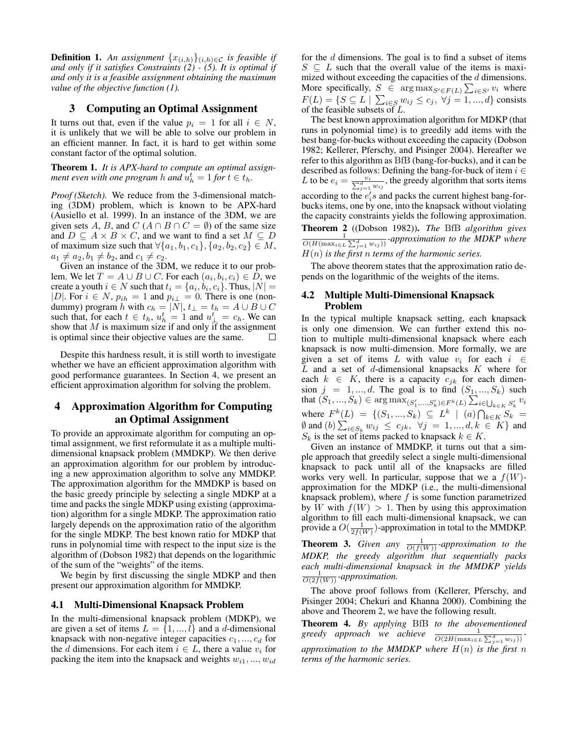**Definition 1.** An assignment  $\{x_{(i,h)}\}_{(i,h)\in\mathcal{C}}$  is feasible if *and only if it satisfies Constraints (2) - (5). It is optimal if and only it is a feasible assignment obtaining the maximum value of the objective function (1).*

## 3 Computing an Optimal Assignment

It turns out that, even if the value  $p_i = 1$  for all  $i \in N$ , it is unlikely that we will be able to solve our problem in an efficient manner. In fact, it is hard to get within some constant factor of the optimal solution.

Theorem 1. *It is APX-hard to compute an optimal assignment even with one program h and*  $\hat{u}_h^t = 1$  *for*  $t \in t_h$ *.* 

*Proof (Sketch).* We reduce from the 3-dimensional matching (3DM) problem, which is known to be APX-hard (Ausiello et al. 1999). In an instance of the 3DM, we are given sets A, B, and  $C(A \cap B \cap C = \emptyset)$  of the same size and  $D \subseteq A \times B \times C$ , and we want to find a set  $M \subseteq D$ of maximum size such that  $\forall \{a_1, b_1, c_1\}, \{a_2, b_2, c_2\} \in M$ ,  $a_1 \neq a_2, b_1 \neq b_2$ , and  $c_1 \neq c_2$ .

Given an instance of the 3DM, we reduce it to our problem. We let  $T = A \cup B \cup C$ . For each  $(a_i, b_i, c_i) \in D$ , we create a youth  $i \in N$  such that  $t_i = \{a_i, b_i, c_i\}$ . Thus,  $|N| =$ |D|. For  $i \in N$ ,  $p_{ih} = 1$  and  $p_{i\perp} = 0$ . There is one (nondummy) program h with  $c_h = |N|, t_{\perp} = t_h = A \cup B \cup C$ such that, for each  $t \in t_h$ ,  $u_h^t = 1$  and  $u_{\perp}^t = c_h$ . We can show that  $M$  is maximum size if and only if the assignment is optimal since their objective values are the same. П

Despite this hardness result, it is still worth to investigate whether we have an efficient approximation algorithm with good performance guarantees. In Section 4, we present an efficient approximation algorithm for solving the problem.

# 4 Approximation Algorithm for Computing an Optimal Assignment

To provide an approximate algorithm for computing an optimal assignment, we first reformulate it as a multiple multidimensional knapsack problem (MMDKP). We then derive an approximation algorithm for our problem by introducing a new approximation algorithm to solve any MMDKP. The approximation algorithm for the MMDKP is based on the basic greedy principle by selecting a single MDKP at a time and packs the single MDKP using existing (approximation) algorithm for a single MDKP. The approximation ratio largely depends on the approximation ratio of the algorithm for the single MDKP. The best known ratio for MDKP that runs in polynomial time with respect to the input size is the algorithm of (Dobson 1982) that depends on the logarithmic of the sum of the "weights" of the items.

We begin by first discussing the single MDKP and then present our approximation algorithm for MMDKP.

#### 4.1 Multi-Dimensional Knapsack Problem

In the multi-dimensional knapsack problem (MDKP), we are given a set of items  $L = \{1, ..., l\}$  and a d-dimensional knapsack with non-negative integer capacities  $c_1, ..., c_d$  for the d dimensions. For each item  $i \in L$ , there a value  $v_i$  for packing the item into the knapsack and weights  $w_{i1}, ..., w_{id}$ 

for the  $d$  dimensions. The goal is to find a subset of items  $S \subseteq L$  such that the overall value of the items is maximized without exceeding the capacities of the  $d$  dimensions. More specifically,  $S \in \arg \max_{S' \in F(L)} \sum_{i \in S'} v_i$  where  $F(L) = \{ S \subseteq L \mid \sum_{i \in S} w_{ij} \le c_j, \ \forall j = 1, ..., d \}$  consists of the feasible subsets of  $L$ .

The best known approximation algorithm for MDKP (that runs in polynomial time) is to greedily add items with the best bang-for-bucks without exceeding the capacity (Dobson 1982; Kellerer, Pferschy, and Pisinger 2004). Hereafter we refer to this algorithm as BfB (bang-for-bucks), and it can be described as follows: Defining the bang-for-buck of item  $i \in$ L to be  $e_i = \frac{v_i}{\sum_{j=1}^d w_{ij}}$ , the greedy algorithm that sorts items according to the  $e_i$ 's and packs the current highest bang-forbucks items, one by one, into the knapsack without violating the capacity constraints yields the following approximation. Theorem 2 ((Dobson 1982)). *The* BfB *algorithm gives* 1  $\frac{1}{O(H(\max_{i \in L} \sum_{j=1}^d w_{ij}))}$ *-approximation to the MDKP where* H(n) *is the first* n *terms of the harmonic series.*

The above theorem states that the approximation ratio depends on the logarithmic of the weights of the items.

#### 4.2 Multiple Multi-Dimensional Knapsack Problem

In the typical multiple knapsack setting, each knapsack is only one dimension. We can further extend this notion to multiple multi-dimensional knapsack where each knapsack is now multi-dimension. More formally, we are given a set of items L with value  $v_i$  for each  $i \in$  $L$  and a set of  $d$ -dimensional knapsacks  $K$  where for each  $k \in K$ , there is a capacity  $c_{jk}$  for each dimension  $j = 1, ..., d$ . The goal is to find  $(S_1, ..., S_k)$  such that  $(S_1, ..., S_k) \in \arg \max_{(S'_1, ..., S'_k) \in F^k(L)} \sum_{i \in \bigcup_{k \in K} S'_k} v_i$ where  $F^k(L) = \{ (S_1, ..., S_k) \subseteq L^k \mid (a) \bigcap_{k \in K} S_k =$ Ø and (*b*)  $\sum_{i \in S_k} w_{ij}$  ≤  $c_{jk}$ ,  $\forall j = 1, ..., d, k \in K$ } and  $S_k$  is the set of items packed to knapsack  $k \in K$ .

Given an instance of MMDKP, it turns out that a simple approach that greedily select a single multi-dimensional knapsack to pack until all of the knapsacks are filled works very well. In particular, suppose that we a  $f(W)$ approximation for the MDKP (i.e., the multi-dimensional knapsack problem), where  $f$  is some function parametrized by W with  $f(W) > 1$ . Then by using this approximation algorithm to fill each multi-dimensional knapsack, we can provide a  $O(\frac{1}{2f(W)})$ -approximation in total to the MMDKP.

**Theorem 3.** Given any  $\frac{1}{O(f(W))}$ -approximation to the *MDKP, the greedy algorithm that sequentially packs each multi-dimensional knapsack in the MMDKP yields*  $\frac{1}{O(2f(W))}$ *-approximation.* 

The above proof follows from (Kellerer, Pferschy, and Pisinger 2004; Chekuri and Khanna 2000). Combining the above and Theorem 2, we have the following result.

Theorem 4. *By applying* BfB *to the abovementioned* greedy approach we achieve  $\frac{1}{O(2H(\max_{i\in L} \sum_{j=1}^d w_{ij}))}$ *-*

*approximation to the MMDKP where* H(n) *is the first* n *terms of the harmonic series.*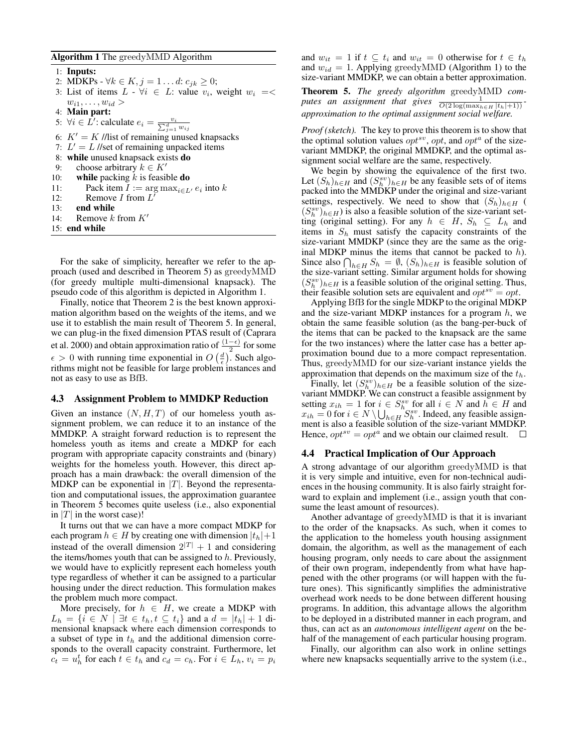#### Algorithm 1 The greedyMMD Algorithm

1: Inputs: 2: MDKPs -  $\forall k \in K, j = 1...d: c_{jk} \ge 0;$ 3: List of items  $L \cdot \forall i \in L$ : value  $v_i$ , weight  $w_i = \langle$  $w_{i1}, \ldots, w_{id}$ 4: Main part: 5:  $\forall i \in \hat{L}'$ : calculate  $e_i = \frac{v_i}{\sum_{j=1}^d w_{ij}}$ 6:  $K' = K$  //list of remaining unused knapsacks 7:  $L' = L$  //set of remaining unpacked items 8: while unused knapsack exists do 9: choose arbitrary  $k \in K'$ 10: while packing  $k$  is feasible **do** 11: Pack item  $I := \arg \max_{i \in L'} e_i$  into k 12: Remove *I* from  $L^{\prime}$ 13: end while 14: Remove  $k$  from  $K'$ 15: end while

For the sake of simplicity, hereafter we refer to the approach (used and described in Theorem 5) as greedyMMD (for greedy multiple multi-dimensional knapsack). The pseudo code of this algorithm is depicted in Algorithm 1.

Finally, notice that Theorem 2 is the best known approximation algorithm based on the weights of the items, and we use it to establish the main result of Theorem 5. In general, we can plug-in the fixed dimension PTAS result of (Caprara et al. 2000) and obtain approximation ratio of  $\frac{(1-\epsilon)}{2}$  for some  $\epsilon > 0$  with running time exponential in  $O\left(\frac{d}{\epsilon}\right)$ . Such algorithms might not be feasible for large problem instances and not as easy to use as BfB.

#### 4.3 Assignment Problem to MMDKP Reduction

Given an instance  $(N, H, T)$  of our homeless youth assignment problem, we can reduce it to an instance of the MMDKP. A straight forward reduction is to represent the homeless youth as items and create a MDKP for each program with appropriate capacity constraints and (binary) weights for the homeless youth. However, this direct approach has a main drawback: the overall dimension of the MDKP can be exponential in  $|T|$ . Beyond the representation and computational issues, the approximation guarantee in Theorem 5 becomes quite useless (i.e., also exponential in |T| in the worst case)!

It turns out that we can have a more compact MDKP for each program  $h \in H$  by creating one with dimension  $|t_h|+1$ instead of the overall dimension  $2^{|T|} + 1$  and considering the items/homes youth that can be assigned to  $h$ . Previously, we would have to explicitly represent each homeless youth type regardless of whether it can be assigned to a particular housing under the direct reduction. This formulation makes the problem much more compact.

More precisely, for  $h \in H$ , we create a MDKP with  $L_h = \{i \in N \mid \exists t \in t_h, t \subseteq t_i\}$  and a  $d = |t_h| + 1$  dimensional knapsack where each dimension corresponds to a subset of type in  $t<sub>h</sub>$  and the additional dimension corresponds to the overall capacity constraint. Furthermore, let  $c_t = u_h^t$  for each  $t \in t_h$  and  $c_d = c_h$ . For  $i \in L_h$ ,  $v_i = p_i$ 

and  $w_{it} = 1$  if  $t \subseteq t_i$  and  $w_{it} = 0$  otherwise for  $t \in t_h$ and  $w_{id} = 1$ . Applying greedyMMD (Algorithm 1) to the size-variant MMDKP, we can obtain a better approximation.

Theorem 5. *The greedy algorithm* greedyMMD *computes an assignment that gives*  $\frac{0}{O(2\log(\max_{h\in H}|t_h|+1))}$ *approximation to the optimal assignment social welfare.*

*Proof (sketch).* The key to prove this theorem is to show that the optimal solution values  $opt^{sv}$ , opt, and opt<sup>a</sup> of the sizevariant MMDKP, the original MMDKP, and the optimal assignment social welfare are the same, respectively.

We begin by showing the equivalence of the first two. Let  $(S_h)_{h \in H}$  and  $(S_h^{sv})_{h \in H}$  be any feasible sets of of items packed into the MMDKP under the original and size-variant settings, respectively. We need to show that  $(S_h)_{h \in H}$  (  $(S_h^{sv})_{h \in H}$ ) is also a feasible solution of the size-variant setting (original setting). For any  $h \in H$ ,  $S_h \subseteq L_h$  and items in  $S_h$  must satisfy the capacity constraints of the size-variant MMDKP (since they are the same as the original MDKP minus the items that cannot be packed to  $h$ ). Since also  $\bigcap_{h\in H} S_h = \emptyset$ ,  $(S_h)_{h\in H}$  is feasible solution of the size-variant setting. Similar argument holds for showing  $(S_h^{sv})_{h \in H}$  is a feasible solution of the original setting. Thus, their feasible solution sets are equivalent and  $opt^{sv} = opt$ .

Applying BfB for the single MDKP to the original MDKP and the size-variant MDKP instances for a program  $h$ , we obtain the same feasible solution (as the bang-per-buck of the items that can be packed to the knapsack are the same for the two instances) where the latter case has a better approximation bound due to a more compact representation. Thus, greedyMMD for our size-variant instance yields the approximation that depends on the maximum size of the  $t<sub>h</sub>$ .

Finally, let  $(S_h^{sv})_{h \in H}$  be a feasible solution of the sizevariant MMDKP. We can construct a feasible assignment by setting  $x_{ih} = 1$  for  $i \in S_h^{sv}$  for all  $i \in N$  and  $h \in H$  and  $x_{ih} = 0$  for  $i \in N \setminus \bigcup_{h \in H} S_h^{sv}$ . Indeed, any feasible assignment is also a feasible solution of the size-variant MMDKP. Hence,  $opt^{sv} = opt^a$  and we obtain our claimed result.

## 4.4 Practical Implication of Our Approach

A strong advantage of our algorithm greedyMMD is that it is very simple and intuitive, even for non-technical audiences in the housing community. It is also fairly straight forward to explain and implement (i.e., assign youth that consume the least amount of resources).

Another advantage of greedyMMD is that it is invariant to the order of the knapsacks. As such, when it comes to the application to the homeless youth housing assignment domain, the algorithm, as well as the management of each housing program, only needs to care about the assignment of their own program, independently from what have happened with the other programs (or will happen with the future ones). This significantly simplifies the administrative overhead work needs to be done between different housing programs. In addition, this advantage allows the algorithm to be deployed in a distributed manner in each program, and thus, can act as an *autonomous intelligent agent* on the behalf of the management of each particular housing program.

Finally, our algorithm can also work in online settings where new knapsacks sequentially arrive to the system (i.e.,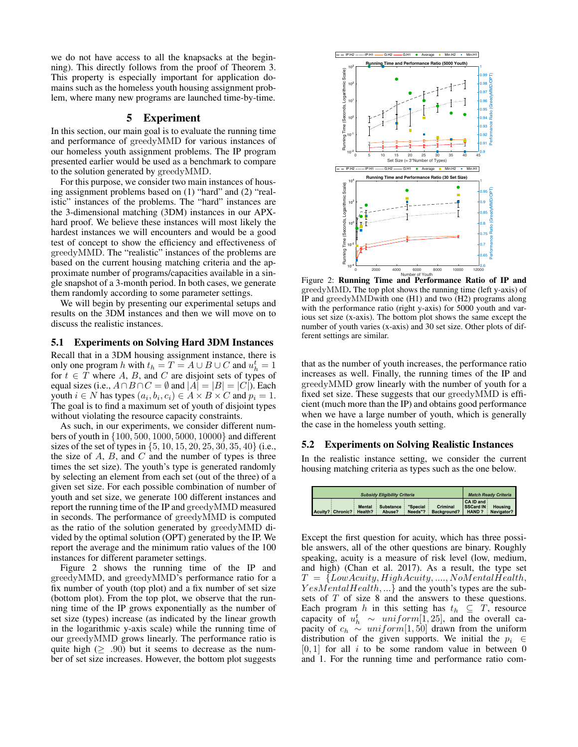we do not have access to all the knapsacks at the beginning). This directly follows from the proof of Theorem 3. This property is especially important for application domains such as the homeless youth housing assignment problem, where many new programs are launched time-by-time.

## 5 Experiment

In this section, our main goal is to evaluate the running time and performance of greedyMMD for various instances of our homeless youth assignment problems. The IP program presented earlier would be used as a benchmark to compare to the solution generated by greedyMMD.

For this purpose, we consider two main instances of housing assignment problems based on (1) "hard" and (2) "realistic" instances of the problems. The "hard" instances are the 3-dimensional matching (3DM) instances in our APXhard proof. We believe these instances will most likely the hardest instances we will encounters and would be a good test of concept to show the efficiency and effectiveness of greedyMMD. The "realistic" instances of the problems are based on the current housing matching criteria and the approximate number of programs/capacities available in a single snapshot of a 3-month period. In both cases, we generate them randomly according to some parameter settings.

We will begin by presenting our experimental setups and results on the 3DM instances and then we will move on to discuss the realistic instances.

### 5.1 Experiments on Solving Hard 3DM Instances

Recall that in a 3DM housing assignment instance, there is only one program h with  $t_h = T = A \cup B \cup C$  and  $u_h^t = 1$ for  $t \in T$  where A, B, and C are disjoint sets of types of equal sizes (i.e.,  $A \cap B \cap C = \emptyset$  and  $|A| = |B| = |C|$ ). Each youth  $i \in N$  has types  $(a_i, b_i, c_i) \in A \times B \times C$  and  $p_i = 1$ . The goal is to find a maximum set of youth of disjoint types without violating the resource capacity constraints.

As such, in our experiments, we consider different numbers of youth in {100, 500, 1000, 5000, 10000} and different sizes of the set of types in {5, 10, 15, 20, 25, 30, 35, 40} (i.e., the size of  $A$ ,  $B$ , and  $C$  and the number of types is three times the set size). The youth's type is generated randomly by selecting an element from each set (out of the three) of a given set size. For each possible combination of number of youth and set size, we generate 100 different instances and report the running time of the IP and greedyMMD measured in seconds. The performance of greedyMMD is computed as the ratio of the solution generated by greedyMMD divided by the optimal solution (OPT) generated by the IP. We report the average and the minimum ratio values of the 100 instances for different parameter settings.

Figure 2 shows the running time of the IP and greedyMMD, and greedyMMD's performance ratio for a fix number of youth (top plot) and a fix number of set size (bottom plot). From the top plot, we observe that the running time of the IP grows exponentially as the number of set size (types) increase (as indicated by the linear growth in the logarithmic y-axis scale) while the running time of our greedyMMD grows linearly. The performance ratio is quite high ( $\geq .90$ ) but it seems to decrease as the number of set size increases. However, the bottom plot suggests



Figure 2: Running Time and Performance Ratio of IP and greedyMMD. The top plot shows the running time (left y-axis) of IP and greedyMMDwith one (H1) and two (H2) programs along with the performance ratio (right y-axis) for 5000 youth and various set size (x-axis). The bottom plot shows the same except the number of youth varies (x-axis) and 30 set size. Other plots of different settings are similar.

that as the number of youth increases, the performance ratio increases as well. Finally, the running times of the IP and greedyMMD grow linearly with the number of youth for a fixed set size. These suggests that our greedyMMD is efficient (much more than the IP) and obtains good performance when we have a large number of youth, which is generally the case in the homeless youth setting.

#### 5.2 Experiments on Solving Realistic Instances

In the realistic instance setting, we consider the current housing matching criteria as types such as the one below.

| <b>Subsidy Eligibility Criteria</b> |                  |                          |                            |                     |                         | <b>Match Ready Criteria</b>            |                       |
|-------------------------------------|------------------|--------------------------|----------------------------|---------------------|-------------------------|----------------------------------------|-----------------------|
|                                     | Acuity? Chronic? | <b>Mental</b><br>Health? | <b>Substance</b><br>Abuse? | "Special<br>Needs"? | Criminal<br>Background? | CA ID and<br>SSCard IN<br><b>HAND?</b> | Housing<br>Navigator? |

Except the first question for acuity, which has three possible answers, all of the other questions are binary. Roughly speaking, acuity is a measure of risk level (low, medium, and high) (Chan et al. 2017). As a result, the type set  $T = \{LowAcuity, HighAcuity, ..., N oMental Health,$  $YesMental Health, ...\}$  and the youth's types are the subsets of T of size 8 and the answers to these questions. Each program h in this setting has  $t_h \subseteq T$ , resource capacity of  $u_h^t \sim uniform[1, 25]$ , and the overall capacity of  $c_h \sim uniform[1, 50]$  drawn from the uniform distribution of the given supports. We initial the  $p_i \in$  $[0, 1]$  for all i to be some random value in between 0 and 1. For the running time and performance ratio com-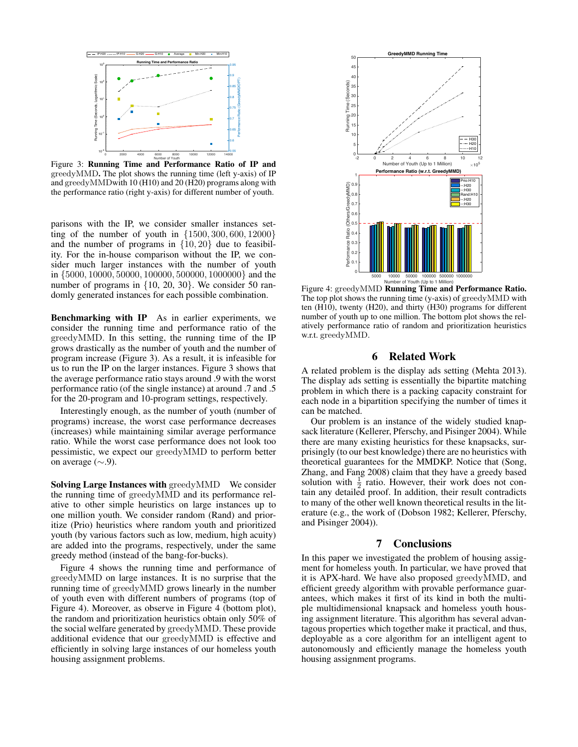

Figure 3: Running Time and Performance Ratio of IP and greedyMMD. The plot shows the running time (left y-axis) of IP and greedyMMDwith 10 (H10) and 20 (H20) programs along with the performance ratio (right y-axis) for different number of youth.

parisons with the IP, we consider smaller instances setting of the number of youth in  $\{1500, 300, 600, 12000\}$ and the number of programs in  $\{10, 20\}$  due to feasibility. For the in-house comparison without the IP, we consider much larger instances with the number of youth in {5000, 10000, 50000, 100000, 500000, 1000000} and the number of programs in  $\{10, 20, 30\}$ . We consider 50 randomly generated instances for each possible combination.

Benchmarking with IP As in earlier experiments, we consider the running time and performance ratio of the greedyMMD. In this setting, the running time of the IP grows drastically as the number of youth and the number of program increase (Figure 3). As a result, it is infeasible for us to run the IP on the larger instances. Figure 3 shows that the average performance ratio stays around .9 with the worst performance ratio (of the single instance) at around .7 and .5 for the 20-program and 10-program settings, respectively.

Interestingly enough, as the number of youth (number of programs) increase, the worst case performance decreases (increases) while maintaining similar average performance ratio. While the worst case performance does not look too pessimistic, we expect our greedyMMD to perform better on average  $(\sim 9)$ .

Solving Large Instances with greedyMMD We consider the running time of greedyMMD and its performance relative to other simple heuristics on large instances up to one million youth. We consider random (Rand) and prioritize (Prio) heuristics where random youth and prioritized youth (by various factors such as low, medium, high acuity) are added into the programs, respectively, under the same greedy method (instead of the bang-for-bucks).

Figure 4 shows the running time and performance of greedyMMD on large instances. It is no surprise that the running time of greedyMMD grows linearly in the number of youth even with different numbers of programs (top of Figure 4). Moreover, as observe in Figure 4 (bottom plot), the random and prioritization heuristics obtain only 50% of the social welfare generated by greedyMMD. These provide additional evidence that our greedyMMD is effective and efficiently in solving large instances of our homeless youth housing assignment problems.



Figure 4: greedyMMD Running Time and Performance Ratio. The top plot shows the running time (y-axis) of greedyMMD with ten (H10), twenty (H20), and thirty (H30) programs for different number of youth up to one million. The bottom plot shows the relatively performance ratio of random and prioritization heuristics w.r.t. greedyMMD.

## 6 Related Work

A related problem is the display ads setting (Mehta 2013). The display ads setting is essentially the bipartite matching problem in which there is a packing capacity constraint for each node in a bipartition specifying the number of times it can be matched.

Our problem is an instance of the widely studied knapsack literature (Kellerer, Pferschy, and Pisinger 2004). While there are many existing heuristics for these knapsacks, surprisingly (to our best knowledge) there are no heuristics with theoretical guarantees for the MMDKP. Notice that (Song, Zhang, and Fang 2008) claim that they have a greedy based solution with  $\frac{1}{2}$  ratio. However, their work does not contain any detailed proof. In addition, their result contradicts to many of the other well known theoretical results in the literature (e.g., the work of (Dobson 1982; Kellerer, Pferschy, and Pisinger 2004)).

# 7 Conclusions

In this paper we investigated the problem of housing assigment for homeless youth. In particular, we have proved that it is APX-hard. We have also proposed greedyMMD, and efficient greedy algorithm with provable performance guarantees, which makes it first of its kind in both the multiple multidimensional knapsack and homeless youth housing assignment literature. This algorithm has several advantagous properties which together make it practical, and thus, deployable as a core algorithm for an intelligent agent to autonomously and efficiently manage the homeless youth housing assignment programs.